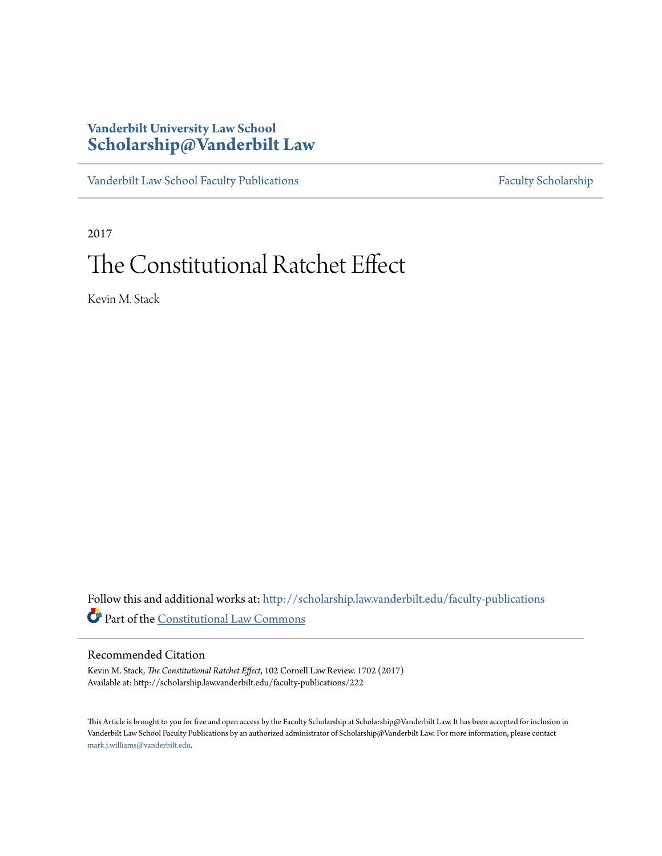### **Vanderbilt University Law School [Scholarship@Vanderbilt Law](http://scholarship.law.vanderbilt.edu?utm_source=scholarship.law.vanderbilt.edu%2Ffaculty-publications%2F222&utm_medium=PDF&utm_campaign=PDFCoverPages)**

[Vanderbilt Law School Faculty Publications](http://scholarship.law.vanderbilt.edu/faculty-publications?utm_source=scholarship.law.vanderbilt.edu%2Ffaculty-publications%2F222&utm_medium=PDF&utm_campaign=PDFCoverPages) [Faculty Scholarship](http://scholarship.law.vanderbilt.edu/faculty-scholarship?utm_source=scholarship.law.vanderbilt.edu%2Ffaculty-publications%2F222&utm_medium=PDF&utm_campaign=PDFCoverPages)

2017

## The Constitutional Ratchet Effect

Kevin M. Stack

Follow this and additional works at: [http://scholarship.law.vanderbilt.edu/faculty-publications](http://scholarship.law.vanderbilt.edu/faculty-publications?utm_source=scholarship.law.vanderbilt.edu%2Ffaculty-publications%2F222&utm_medium=PDF&utm_campaign=PDFCoverPages) Part of the [Constitutional Law Commons](http://network.bepress.com/hgg/discipline/589?utm_source=scholarship.law.vanderbilt.edu%2Ffaculty-publications%2F222&utm_medium=PDF&utm_campaign=PDFCoverPages)

#### Recommended Citation

Kevin M. Stack, *The Constitutional Ratchet Effect*, 102 Cornell Law Review. 1702 (2017) Available at: http://scholarship.law.vanderbilt.edu/faculty-publications/222

This Article is brought to you for free and open access by the Faculty Scholarship at Scholarship@Vanderbilt Law. It has been accepted for inclusion in Vanderbilt Law School Faculty Publications by an authorized administrator of Scholarship@Vanderbilt Law. For more information, please contact [mark.j.williams@vanderbilt.edu](mailto:mark.j.williams@vanderbilt.edu).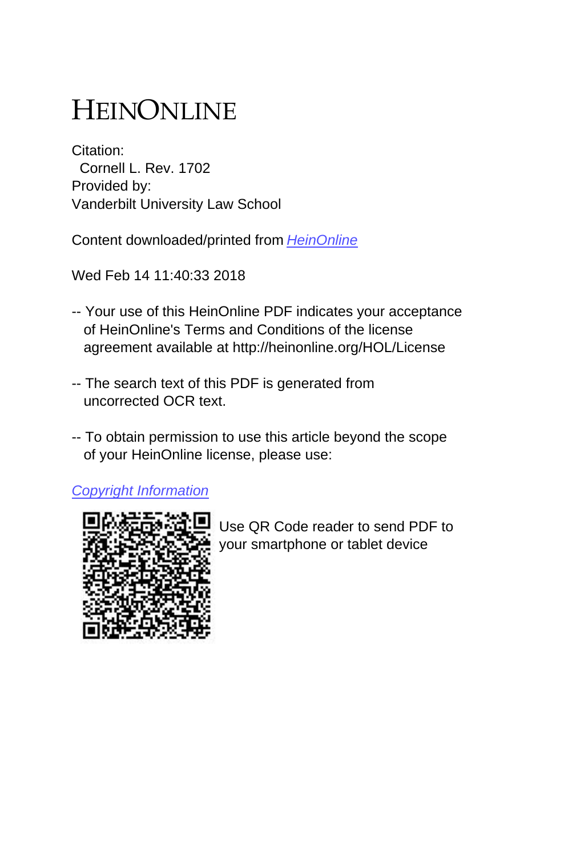# HEINONLINE

Citation: Cornell L. Rev. 1702 Provided by: Vanderbilt University Law School

Content downloaded/printed from [HeinOnline](http://heinonline.org/HOL/Page?handle=hein.journals/clqv102&collection=journals&id=1750&startid=1750&endid=1755)

Wed Feb 14 11:40:33 2018

- -- Your use of this HeinOnline PDF indicates your acceptance of HeinOnline's Terms and Conditions of the license agreement available at http://heinonline.org/HOL/License
- -- The search text of this PDF is generated from uncorrected OCR text.
- -- To obtain permission to use this article beyond the scope of your HeinOnline license, please use:

[Copyright Information](https://www.copyright.com/ccc/basicSearch.do?operation=go&searchType=0&lastSearch=simple&all=on&titleOrStdNo=0010-8847)



 Use QR Code reader to send PDF to your smartphone or tablet device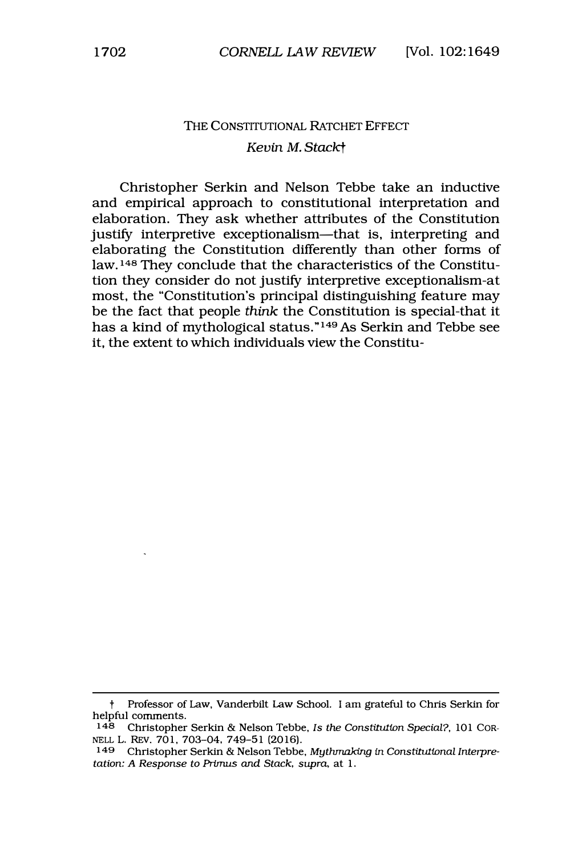### THE CONSTITUTIONAL RATCHET EFFECT *Kevin* M. *Stackt*

Christopher Serkin and Nelson Tebbe take an inductive and empirical approach to constitutional interpretation and elaboration. They ask whether attributes of the Constitution justify interpretive exceptionalism-that is, interpreting and elaborating the Constitution differently than other forms of law. **<sup>148</sup>**They conclude that the characteristics of the Constitution they consider do not justify interpretive exceptionalism-at most, the "Constitution's principal distinguishing feature may be the fact that people *think* the Constitution is special-that it has a kind of mythological status." **<sup>149</sup>**As Serkin and Tebbe see it, the extent to which individuals view the Constitu-

t Professor of Law, Vanderbilt Law School. I am grateful to Chris Serkin for helpful comments.

<sup>148</sup> Christopher Serkin & Nelson Tebbe, *Is the Constitution Special?*, 101 COR-NELL L. REV. 701, 703-04, 749-51 (2016).

**<sup>149</sup>** Christopher Serldn & Nelson Tebbe, *Mythmaking in Constitutional Interpretation: A Response to Primus and Stack, supra,* at 1.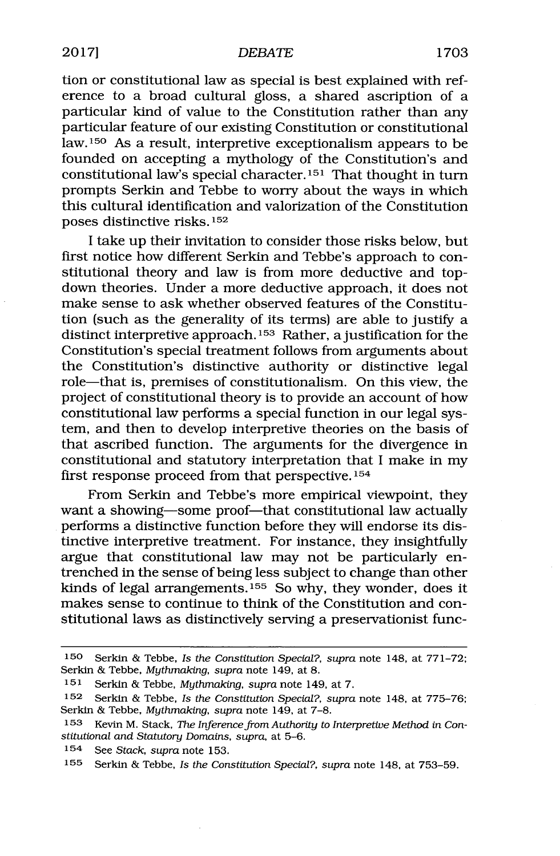tion or constitutional law as special is best explained with reference to a broad cultural gloss, a shared ascription of a particular kind of value to the Constitution rather than any particular feature of our existing Constitution or constitutional **law.<sup>150</sup>**As a result, interpretive exceptionalism appears to be founded on accepting a mythology of the Constitution's and constitutional law's special character.<sup>151</sup> That thought in turn prompts Serkin and Tebbe to worry about the ways in which this cultural identification and valorization of the Constitution poses distinctive risks. **<sup>152</sup>**

I take up their invitation to consider those risks below, but first notice how different Serkin and Tebbe's approach to constitutional theory and law is from more deductive and topdown theories. Under a more deductive approach, it does not make sense to ask whether observed features of the Constitution (such as the generality of its terms) are able to justify a distinct interpretive approach.<sup>153</sup> Rather, a justification for the Constitution's special treatment follows from arguments about the Constitution's distinctive authority or distinctive legal role-that is, premises of constitutionalism. On this view, the project of constitutional theory is to provide an account of how constitutional law performs a special function in our legal system, and then to develop interpretive theories on the basis of that ascribed function. The arguments for the divergence in constitutional and statutory interpretation that **I** make in my first response proceed from that perspective. $154$ 

From Serkin and Tebbe's more empirical viewpoint, they want a showing-some proof-that constitutional law actually performs a distinctive function before they will endorse its distinctive interpretive treatment. For instance, they insightfully argue that constitutional law may not be particularly entrenched in the sense of being less subject to change than other kinds of legal arrangements.<sup>155</sup> So why, they wonder, does it makes sense to continue to think of the Constitution and constitutional laws as distinctively serving a preservationist func-

**<sup>150</sup>** Serkin **&** Tebbe, *Is the Constitution Special?, supra* note 148, at **771-72;** Serkin **&** Tebbe, *Mythmaking, supra* note 149, at **8.**

**<sup>151</sup>** Serkin **&** Tebbe, *Mythmaking, supra* note 149, at **7.**

**<sup>152</sup>** Serkin **&** Tebbe, *Is the Constitution Special?, supra* note 148, at **775-76;** Serkin **&** Tebbe, *Mythmaking, supra* note 149, at **7-8.**

**<sup>153</sup>** Kevin M. Stack, *The Inference from Authority to Interpretive Method* in *Constitutional and* Statutory *Domains, supra,* at **5-6.**

<sup>154</sup> See *Stack, supra* note **153.**

**<sup>&#</sup>x27;55** Serkin **&** Tebbe, *Is the Constitution Special?, supra* note 148, at **753-59.**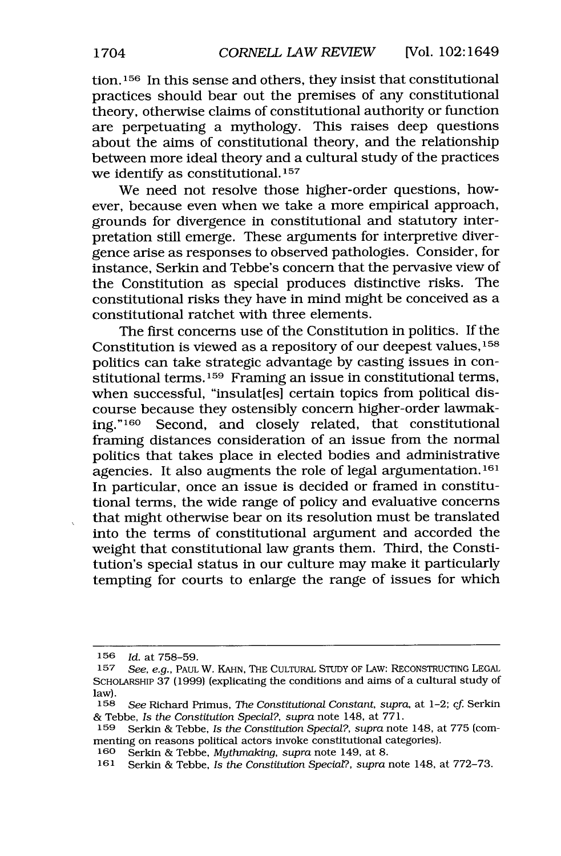**tion.1<sup>5</sup> 6** In this sense and others, they insist that constitutional practices should bear out the premises of any constitutional theory, otherwise claims of constitutional authority or function are perpetuating a mythology. This raises deep questions about the aims of constitutional theory, and the relationship between more ideal theory and a cultural study of the practices we identify as constitutional. **<sup>157</sup>**

We need not resolve those higher-order questions, however, because even when we take a more empirical approach, grounds for divergence in constitutional and statutory interpretation still emerge. These arguments for interpretive divergence arise as responses to observed pathologies. Consider, for instance, Serkin and Tebbe's concern that the pervasive view of the Constitution as special produces distinctive risks. The constitutional risks they have in mind might be conceived as a constitutional ratchet with three elements.

The first concerns use of the Constitution in politics. **If** the Constitution is viewed as a repository of our deepest values, 158 politics can take strategic advantage **by** casting issues in constitutional terms.<sup>159</sup> Framing an issue in constitutional terms, when successful, "insulat[es] certain topics from political discourse because they ostensibly concern higher-order lawmaking."<sup>160</sup> Second, and closely related, that constitutional framing distances consideration of an issue from the normal politics that takes place in elected bodies and administrative agencies. It also augments the role of legal argumentation.<sup>161</sup> In particular, once an issue is decided or framed in constitutional terms, the wide range of policy and evaluative concerns that might otherwise bear on its resolution must be translated into the terms of constitutional argument and accorded the weight that constitutional law grants them. Third, the Constitution's special status in our culture may make it particularly tempting for courts to enlarge the range of issues for which

**<sup>156</sup>** *Id. at* **758-59.**

**<sup>157</sup>** *See, e.g.,* **PAUL** W. **KAHN, THE CULTURAL STUDY OF LAw: RECONSTRUCTING LEGAL SCHOLARSHIP 37 (1999)** (explicating the conditions and aims of a cultural study of law).

**<sup>158</sup>** *See* Richard Primus, *The Constitutional Constant, supra,* at 1-2; *cf* Serkin **&** Tebbe, *Is the Constitution Special?, supra* note 148, at **771.**

**<sup>159</sup>** Serkin **&** Tebbe, *Is the Constitution Special?, supra* note 148, at **775** (commenting on reasons political actors invoke constitutional categories).

**<sup>160</sup>** Serkin **&** Tebbe, *Mythmaking, supra* note 149, at **8.**

**<sup>161</sup>** Serkin **&** Tebbe, Is *the Constitution Special?, supra* note 148, at **772-73.**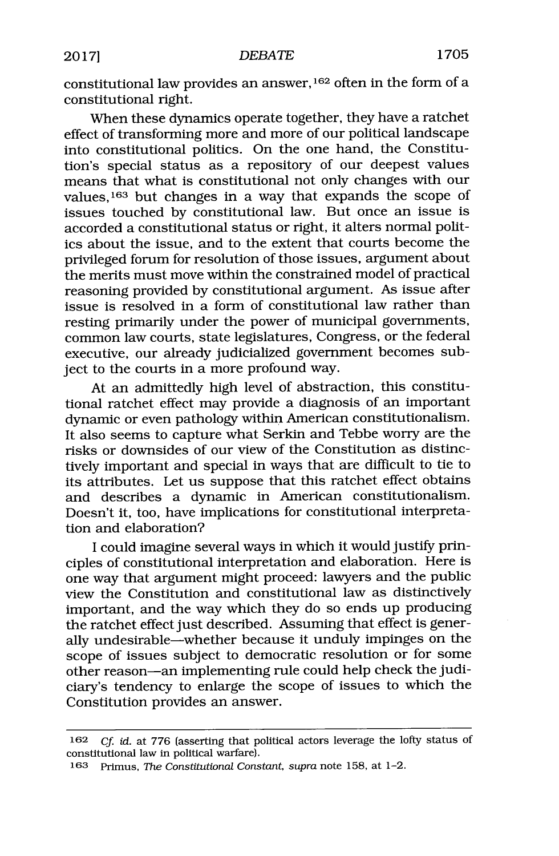constitutional law provides an answer, <sup>162</sup> often in the form of a constitutional right.

When these dynamics operate together, they have a ratchet effect of transforming more and more of our political landscape into constitutional politics. On the one hand, the Constitution's special status as a repository of our deepest values means that what is constitutional not only changes with our values, 163 but changes in a way that expands the scope of issues touched **by** constitutional law. But once an issue is accorded a constitutional status or right, it alters normal politics about the issue, and to the extent that courts become the privileged forum for resolution of those issues, argument about the merits must move within the constrained model of practical reasoning provided **by** constitutional argument. As issue after issue is resolved in a form of constitutional law rather than resting primarily under the power of municipal governments, common law courts, state legislatures, Congress, or the federal executive, our already judicialized government becomes subject to the courts in a more profound way.

At an admittedly high level of abstraction, this constitutional ratchet effect may provide a diagnosis of an important dynamic or even pathology within American constitutionalism. It also seems to capture what Serkin and Tebbe worry are the risks or downsides of our view of the Constitution as distinctively important and special in ways that are difficult to tie to its attributes. Let us suppose that this ratchet effect obtains and describes a dynamic in American constitutionalism. Doesn't it, too, have implications for constitutional interpretation and elaboration?

**I** could imagine several ways in which it would justify principles of constitutional interpretation and elaboration. Here is one way that argument might proceed: lawyers and the public view the Constitution and constitutional law as distinctively important, and the way which they do so ends up producing the ratchet effect just described. Assuming that effect is generally undesirable-whether because it unduly impinges on the scope of issues subject to democratic resolution or for some other reason-an implementing rule could help check the judiciary's tendency to enlarge the scope of issues to which the Constitution provides an answer.

**<sup>162</sup>** *Cf. id. at* **776** (asserting that political actors leverage the lofty status of constitutional law in political warfare).

**<sup>163</sup>** Primus, *The Constitutional Constant, supra* note **158,** at 1-2.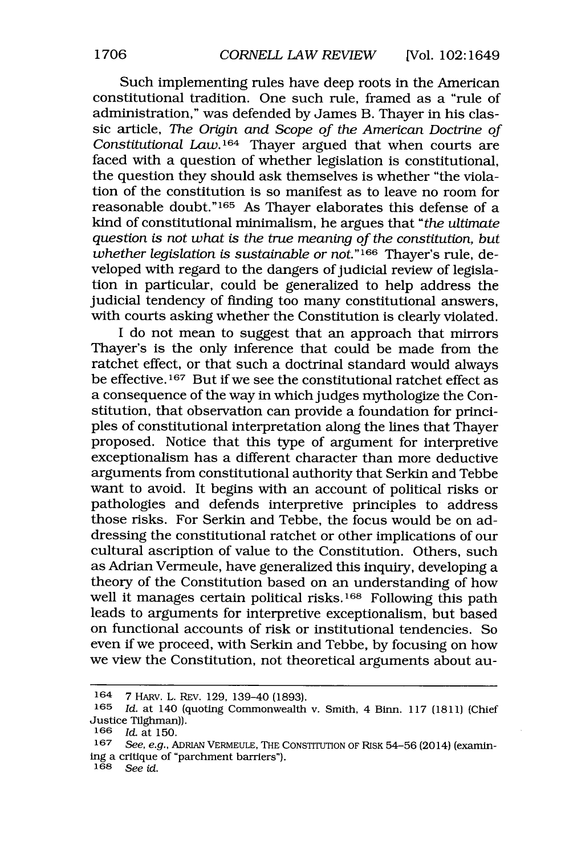Such implementing rules have deep roots in the American constitutional tradition. One such rule, framed as a "rule of administration," was defended **by** James B. Thayer in his classic article, *The Origin and Scope of the American Doctrine of Constitutional Law.164* Thayer argued that when courts are faced with a question of whether legislation is constitutional, the question they should ask themselves is whether "the violation of the constitution is so manifest as to leave no room for reasonable doubt."<sup>165</sup> As Thayer elaborates this defense of a kind of constitutional minimalism, he argues that *"the ultimate question is not what is the true meaning of the constitution, but whether legislation is sustainable or not.*"<sup>166</sup> Thayer's rule, developed with regard to the dangers of judicial review of legislation in particular, could be generalized to help address the judicial tendency of finding too many constitutional answers, with courts asking whether the Constitution is clearly violated.

I do not mean to suggest that an approach that mirrors Thayer's is the only inference that could be made from the ratchet effect, or that such a doctrinal standard would always be effective.<sup>167</sup> But if we see the constitutional ratchet effect as a consequence of the way in which judges mythologize the Constitution, that observation can provide a foundation for principles of constitutional interpretation along the lines that Thayer proposed. Notice that this type of argument for interpretive exceptionalism has a different character than more deductive arguments from constitutional authority that Serkin and Tebbe want to avoid. It begins with an account of political risks or pathologies and defends interpretive principles to address those risks. For Serkin and Tebbe, the focus would be on addressing the constitutional ratchet or other implications of our cultural ascription of value to the Constitution. Others, such as Adrian Vermeule, have generalized this inquiry, developing a theory of the Constitution based on an understanding of how well it manages certain political risks.<sup>168</sup> Following this path leads to arguments for interpretive exceptionalism, but based on functional accounts of risk or institutional tendencies. So even if we proceed, with Serkin and Tebbe, **by** focusing on how we view the Constitution, not theoretical arguments about au-

**<sup>164 7</sup>** HARV. L. REV. **129,** 139-40 **(1893).**

**<sup>165</sup>** *Id.* at 140 (quoting Commonwealth v. Smith, 4 Binn. **117 (1811)** (Chief Justice Tilghman)).<br> $166$  *Id.* at 150.

**<sup>166</sup>** *Id.* at **150.**

**<sup>167</sup>** See, e.g., **ADRIAN VERMEULE, THE CONSTITUTION OF RISK 54-56** (2014) (examining a critique of "parchment barriers").

**<sup>168</sup>** *See id.*